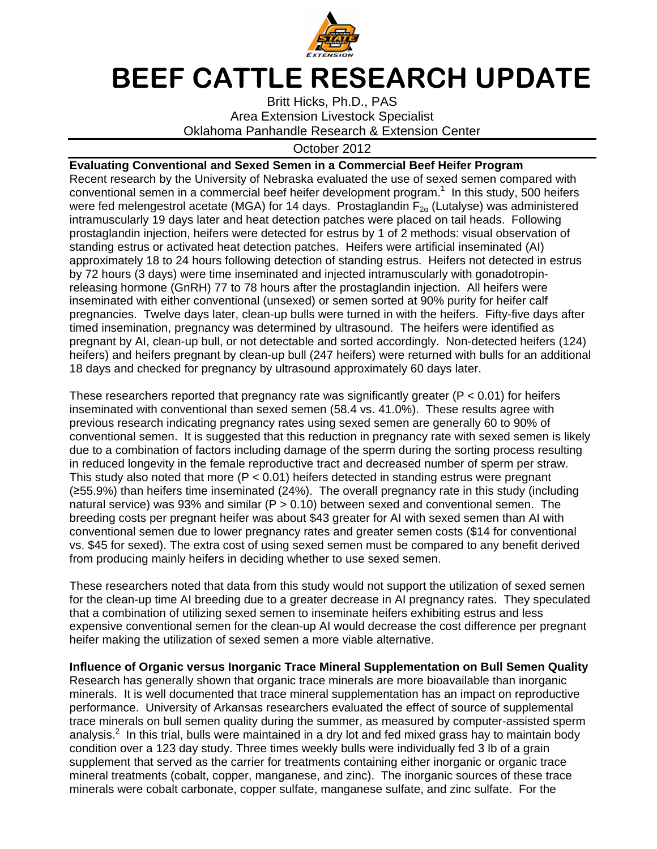

## BEEF CATTLE RESEARCH UPDATE

Britt Hicks, Ph.D., PAS Area Extension Livestock Specialist Oklahoma Panhandle Research & Extension Center

## October 2012

**Evaluating Conventional and Sexed Semen in a Commercial Beef Heifer Program**  Recent research by the University of Nebraska evaluated the use of sexed semen compared with conventional semen in a commercial beef heifer development program.<sup>1</sup> In this study, 500 heifers were fed melengestrol acetate (MGA) for 14 days. Prostaglandin  $F_{2\alpha}$  (Lutalyse) was administered intramuscularly 19 days later and heat detection patches were placed on tail heads. Following prostaglandin injection, heifers were detected for estrus by 1 of 2 methods: visual observation of standing estrus or activated heat detection patches. Heifers were artificial inseminated (AI) approximately 18 to 24 hours following detection of standing estrus. Heifers not detected in estrus by 72 hours (3 days) were time inseminated and injected intramuscularly with gonadotropinreleasing hormone (GnRH) 77 to 78 hours after the prostaglandin injection. All heifers were inseminated with either conventional (unsexed) or semen sorted at 90% purity for heifer calf pregnancies. Twelve days later, clean-up bulls were turned in with the heifers. Fifty-five days after timed insemination, pregnancy was determined by ultrasound. The heifers were identified as pregnant by AI, clean-up bull, or not detectable and sorted accordingly. Non-detected heifers (124) heifers) and heifers pregnant by clean-up bull (247 heifers) were returned with bulls for an additional 18 days and checked for pregnancy by ultrasound approximately 60 days later.

These researchers reported that pregnancy rate was significantly greater ( $P < 0.01$ ) for heifers inseminated with conventional than sexed semen (58.4 vs. 41.0%). These results agree with previous research indicating pregnancy rates using sexed semen are generally 60 to 90% of conventional semen. It is suggested that this reduction in pregnancy rate with sexed semen is likely due to a combination of factors including damage of the sperm during the sorting process resulting in reduced longevity in the female reproductive tract and decreased number of sperm per straw. This study also noted that more ( $P < 0.01$ ) heifers detected in standing estrus were pregnant (≥55.9%) than heifers time inseminated (24%). The overall pregnancy rate in this study (including natural service) was 93% and similar (P > 0.10) between sexed and conventional semen. The breeding costs per pregnant heifer was about \$43 greater for AI with sexed semen than AI with conventional semen due to lower pregnancy rates and greater semen costs (\$14 for conventional vs. \$45 for sexed). The extra cost of using sexed semen must be compared to any benefit derived from producing mainly heifers in deciding whether to use sexed semen.

These researchers noted that data from this study would not support the utilization of sexed semen for the clean-up time AI breeding due to a greater decrease in AI pregnancy rates. They speculated that a combination of utilizing sexed semen to inseminate heifers exhibiting estrus and less expensive conventional semen for the clean-up AI would decrease the cost difference per pregnant heifer making the utilization of sexed semen a more viable alternative.

**Influence of Organic versus Inorganic Trace Mineral Supplementation on Bull Semen Quality**  Research has generally shown that organic trace minerals are more bioavailable than inorganic minerals. It is well documented that trace mineral supplementation has an impact on reproductive performance. University of Arkansas researchers evaluated the effect of source of supplemental trace minerals on bull semen quality during the summer, as measured by computer-assisted sperm analysis. $2$  In this trial, bulls were maintained in a dry lot and fed mixed grass hay to maintain body condition over a 123 day study. Three times weekly bulls were individually fed 3 lb of a grain supplement that served as the carrier for treatments containing either inorganic or organic trace mineral treatments (cobalt, copper, manganese, and zinc). The inorganic sources of these trace minerals were cobalt carbonate, copper sulfate, manganese sulfate, and zinc sulfate. For the